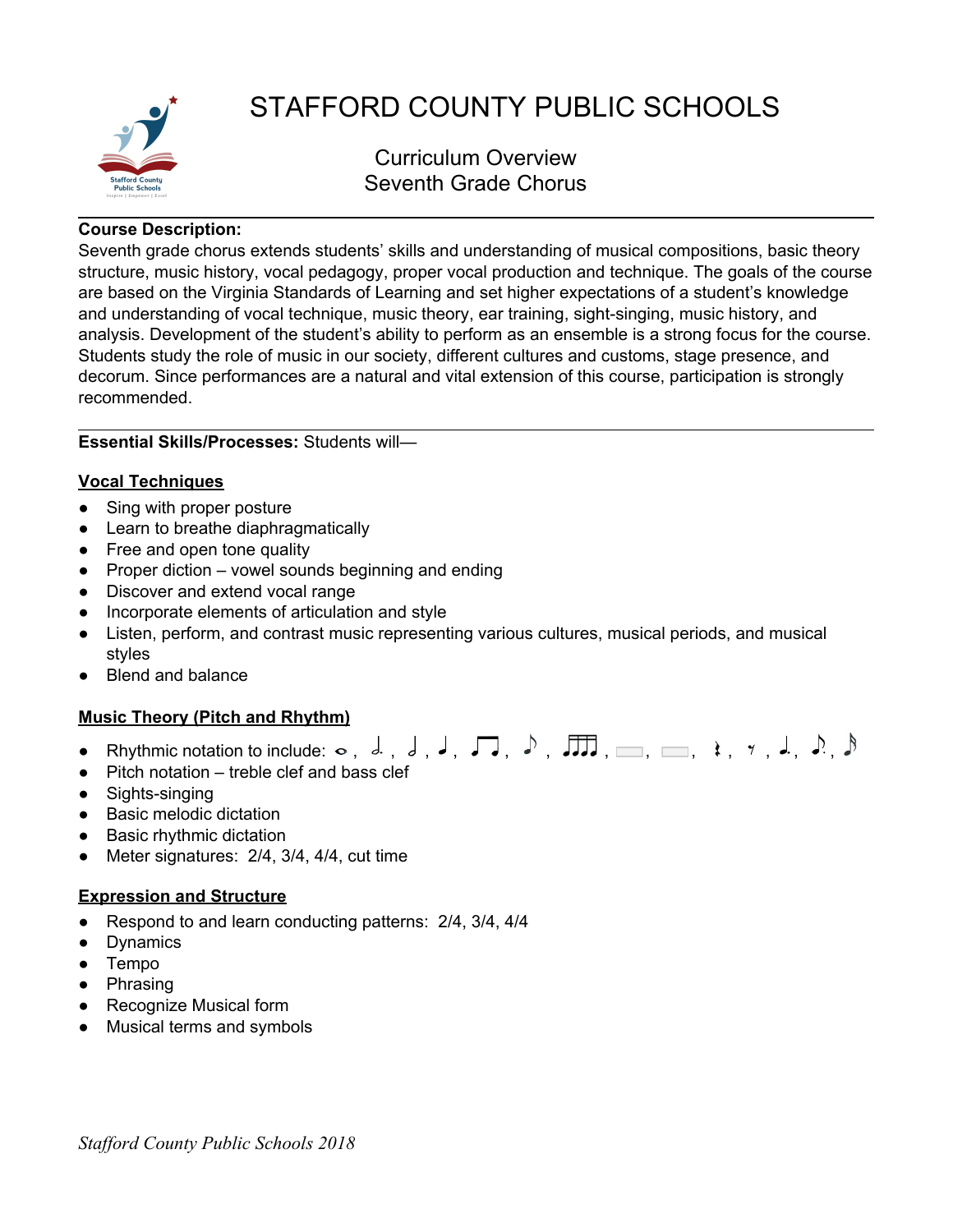

# STAFFORD COUNTY PUBLIC SCHOOLS

Curriculum Overview Seventh Grade Chorus

### **Course Description:**

Seventh grade chorus extends students' skills and understanding of musical compositions, basic theory structure, music history, vocal pedagogy, proper vocal production and technique. The goals of the course are based on the Virginia Standards of Learning and set higher expectations of a student's knowledge and understanding of vocal technique, music theory, ear training, sight-singing, music history, and analysis. Development of the student's ability to perform as an ensemble is a strong focus for the course. Students study the role of music in our society, different cultures and customs, stage presence, and decorum. Since performances are a natural and vital extension of this course, participation is strongly recommended.

# **Essential Skills/Processes:** Students will—

#### **Vocal Techniques**

- Sing with proper posture
- Learn to breathe diaphragmatically
- Free and open tone quality
- $\bullet$  Proper diction vowel sounds beginning and ending
- Discover and extend vocal range
- Incorporate elements of articulation and style
- Listen, perform, and contrast music representing various cultures, musical periods, and musical styles
- Blend and balance

## **Music Theory (Pitch and Rhythm)**

- Rhythmic notation to include: , , , , , , , , , , , , ,
- Pitch notation treble clef and bass clef
- Sights-singing
- Basic melodic dictation
- Basic rhythmic dictation
- Meter signatures: 2/4, 3/4, 4/4, cut time

#### **Expression and Structure**

- Respond to and learn conducting patterns: 2/4, 3/4, 4/4
- Dynamics
- Tempo
- Phrasing
- Recognize Musical form
- Musical terms and symbols